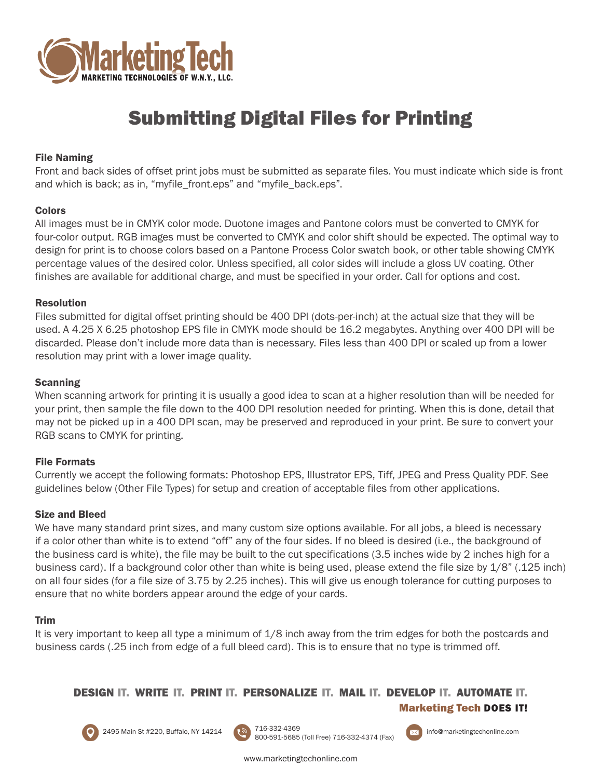

# Submitting Digital Files for Printing

# File Naming

Front and back sides of offset print jobs must be submitted as separate files. You must indicate which side is front and which is back; as in, "myfile\_front.eps" and "myfile\_back.eps".

# Colors

All images must be in CMYK color mode. Duotone images and Pantone colors must be converted to CMYK for four-color output. RGB images must be converted to CMYK and color shift should be expected. The optimal way to design for print is to choose colors based on a Pantone Process Color swatch book, or other table showing CMYK percentage values of the desired color. Unless specified, all color sides will include a gloss UV coating. Other finishes are available for additional charge, and must be specified in your order. Call for options and cost.

## Resolution

Files submitted for digital offset printing should be 400 DPI (dots-per-inch) at the actual size that they will be used. A 4.25 X 6.25 photoshop EPS file in CMYK mode should be 16.2 megabytes. Anything over 400 DPI will be discarded. Please don't include more data than is necessary. Files less than 400 DPI or scaled up from a lower resolution may print with a lower image quality.

# Scanning

When scanning artwork for printing it is usually a good idea to scan at a higher resolution than will be needed for your print, then sample the file down to the 400 DPI resolution needed for printing. When this is done, detail that may not be picked up in a 400 DPI scan, may be preserved and reproduced in your print. Be sure to convert your RGB scans to CMYK for printing.

# File Formats

Currently we accept the following formats: Photoshop EPS, Illustrator EPS, Tiff, JPEG and Press Quality PDF. See guidelines below (Other File Types) for setup and creation of acceptable files from other applications.

## Size and Bleed

We have many standard print sizes, and many custom size options available. For all jobs, a bleed is necessary if a color other than white is to extend "off" any of the four sides. If no bleed is desired (i.e., the background of the business card is white), the file may be built to the cut specifications (3.5 inches wide by 2 inches high for a business card). If a background color other than white is being used, please extend the file size by 1/8" (.125 inch) on all four sides (for a file size of 3.75 by 2.25 inches). This will give us enough tolerance for cutting purposes to ensure that no white borders appear around the edge of your cards.

## Trim

It is very important to keep all type a minimum of 1/8 inch away from the trim edges for both the postcards and business cards (.25 inch from edge of a full bleed card). This is to ensure that no type is trimmed off.

# DESIGN IT. WRITE IT. PRINT IT. PERSONALIZE IT. MAIL IT. DEVELOP IT. AUTOMATE IT.

Marketing Tech DOES IT!



2495 Main St #220, Buffalo, NY 14214 716-332-4369